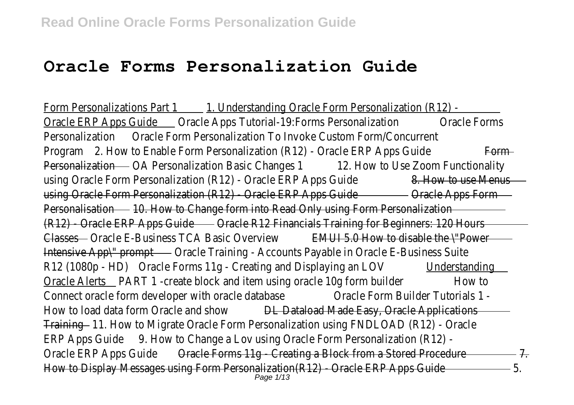# **Oracle Forms Personalization Guide**

Form Personalizations Part 1 1. Understanding Oracle Form Personalization (R12) -Oracle ERP Apps Guide Oracle Apps Tutorial-19:Forms Personalization Oracle Forms Personalization Oracle Form Personalization To Invoke Custom Form/Concurrent Program 2. How to Enable Form Personalization (R12) - Oracle ERP Apps Guide Form Personalization OA Personalization Basic Changes 1 12. How to Use Zoom Functionality using Oracle Form Personalization (R12) - Oracle ERP Apps Guide 8. How to use Menus using Oracle Form Personalization (R12) - Oracle ERP Apps Guide Oracle Apps Form Personalisation 10. How to Change form into Read Only using Form Personalization (R12) Oracle ERP Apps Guide Oracle R12 Financials Training for Beginners: 120 Hours Classes Oracle E-Business TCA Basic Overview EMUI 5.0 How to disable the \"Power Intensive App\" prompt Oracle Training - Accounts Payable in Oracle E-Business Suite R12 (1080p - HDD racle Forms 11g - Creating and Displaying an LOV Understanding Oracle Alerts PART 1 -create block and item using oracle 10g form builder How to Connect oracle form developer with oracle database Oracle Form Builder Tutorials 1 -How to load data form Oracle and show DL Dataload Made Easy, Oracle Applications Training 11. How to Migrate Oracle Form Personalization using FNDLOAD (R12) - Oracle ERP Apps Guide 9. How to Change a Lov using Oracle Form Personalization (R12) - Oracle ERP Apps Guide Oracle Forms 11g - Creating a Block from a Stored Procedure 7. How to Display Messages using Form Personalization(R12) - Oracle ERP Apps Guide 5. Page 1/13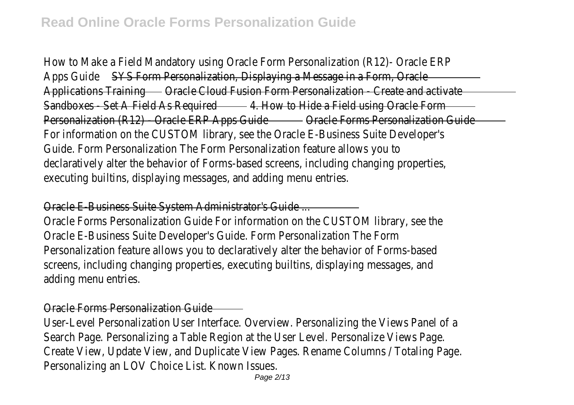How to Make a Field Mandatory using Oracle Form Personalization (R12)- Oracle ERP Apps Guide SYS Form Personalization, Displaying a Message in a Form, Oracle Applications Training Oracle Cloud Fusion Form Personalization - Create and activate Sandboxes - Set A Field As Required-4. How to Hide a Field using Oracle Form Personalization (R12) - Oracle ERP Apps Guide-Oracle Forms Personalization Guide-For information on the CUSTOM library, see the Oracle E-Business Suite Developer's Guide. Form Personalization The Form Personalization feature allows you to declaratively alter the behavior of Forms-based screens, including changing properties, executing builtins, displaying messages, and adding menu entries.

#### Oracle E-Business Suite System Administrator's Guide ...

Oracle Forms Personalization Guide For information on the CUSTOM library, see the Oracle E-Business Suite Developer's Guide. Form Personalization The Form Personalization feature allows you to declaratively alter the behavior of Forms-based screens, including changing properties, executing builtins, displaying messages, and adding menu entries.

## Oracle Forms Personalization Guide

User-Level Personalization User Interface. Overview. Personalizing the Views Panel of a Search Page. Personalizing a Table Region at the User Level. Personalize Views Page. Create View, Update View, and Duplicate View Pages. Rename Columns / Totaling Page. Personalizing an LOV Choice List. Known Issues.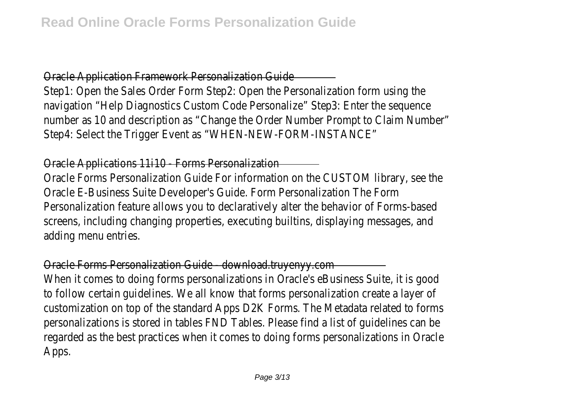#### Oracle Application Framework Personalization Guide

Step1: Open the Sales Order Form Step2: Open the Personalization form using the navigation "Help Diagnostics Custom Code Personalize" Step3: Enter the sequence number as 10 and description as "Change the Order Number Prompt to Claim Number" Step4: Select the Trigger Event as "WHEN-NEW-FORM-INSTANCE"

#### Oracle Applications 11i10 - Forms Personalization

Oracle Forms Personalization Guide For information on the CUSTOM library, see the Oracle E-Business Suite Developer's Guide. Form Personalization The Form Personalization feature allows you to declaratively alter the behavior of Forms-based screens, including changing properties, executing builtins, displaying messages, and adding menu entries.

#### Oracle Forms Personalization Guide - download.truyenyy.com

When it comes to doing forms personalizations in Oracle's eBusiness Suite, it is good to follow certain guidelines. We all know that forms personalization create a layer of customization on top of the standard Apps D2K Forms. The Metadata related to forms personalizations is stored in tables FND Tables. Please find a list of guidelines can be regarded as the best practices when it comes to doing forms personalizations in Oracle Apps.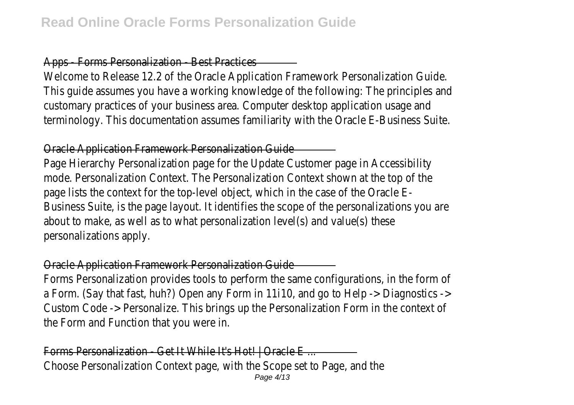### Apps - Forms Personalization - Best Practices

Welcome to Release 12.2 of the Oracle Application Framework Personalization Guide. This guide assumes you have a working knowledge of the following: The principles and customary practices of your business area. Computer desktop application usage and terminology. This documentation assumes familiarity with the Oracle E-Business Suite.

#### Oracle Application Framework Personalization Guide

Page Hierarchy Personalization page for the Update Customer page in Accessibility mode. Personalization Context. The Personalization Context shown at the top of the page lists the context for the top-level object, which in the case of the Oracle E-Business Suite, is the page layout. It identifies the scope of the personalizations you are about to make, as well as to what personalization level(s) and value(s) these personalizations apply.

#### Oracle Application Framework Personalization Guide

Forms Personalization provides tools to perform the same configurations, in the form of a Form. (Say that fast, huh?) Open any Form in 11i10, and go to Help -> Diagnostics -> Custom Code -> Personalize. This brings up the Personalization Form in the context of the Form and Function that you were in.

Forms Personalization - Get It While It's Hot! | Oracle E... Choose Personalization Context page, with the Scope set to Page, and the Page 4/13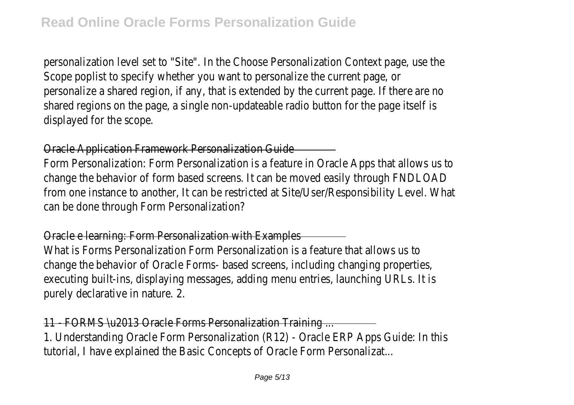personalization level set to "Site". In the Choose Personalization Context page, use the Scope poplist to specify whether you want to personalize the current page, or personalize a shared region, if any, that is extended by the current page. If there are no shared regions on the page, a single non-updateable radio button for the page itself is displayed for the scope.

#### Oracle Application Framework Personalization Guide

Form Personalization: Form Personalization is a feature in Oracle Apps that allows us to change the behavior of form based screens. It can be moved easily through FNDLOAD from one instance to another, It can be restricted at Site/User/Responsibility Level. What can be done through Form Personalization?

#### Oracle e learning: Form Personalization with Examples

What is Forms Personalization Form Personalization is a feature that allows us to change the behavior of Oracle Forms- based screens, including changing properties, executing built-ins, displaying messages, adding menu entries, launching URLs. It is purely declarative in nature. 2.

#### 11 - FORMS \u2013 Oracle Forms Personalization Training ...

1. Understanding Oracle Form Personalization (R12) - Oracle ERP Apps Guide: In this tutorial, I have explained the Basic Concepts of Oracle Form Personalizat...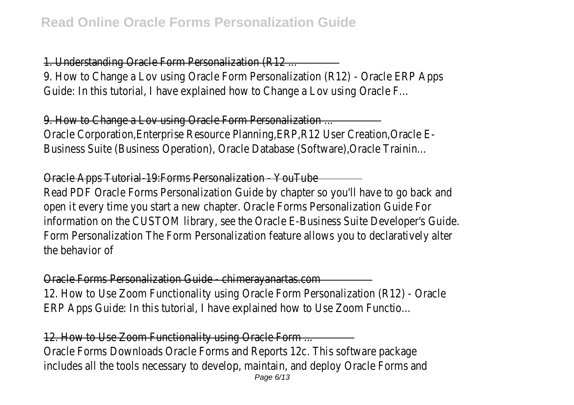## 1. Understanding Oracle Form Personalization (R12 ...

9. How to Change a Lov using Oracle Form Personalization (R12) - Oracle ERP Apps Guide: In this tutorial, I have explained how to Change a Lov using Oracle F...

9. How to Change a Lov using Oracle Form Personalization ...

Oracle Corporation,Enterprise Resource Planning,ERP,R12 User Creation,Oracle E-Business Suite (Business Operation), Oracle Database (Software),Oracle Trainin...

## Oracle Apps Tutorial-19:Forms Personalization - YouTube

Read PDF Oracle Forms Personalization Guide by chapter so you'll have to go back and open it every time you start a new chapter. Oracle Forms Personalization Guide For information on the CUSTOM library, see the Oracle E-Business Suite Developer's Guide. Form Personalization The Form Personalization feature allows you to declaratively alter the behavior of

## Oracle Forms Personalization Guide - chimerayanartas.com 12. How to Use Zoom Functionality using Oracle Form Personalization (R12) - Oracle ERP Apps Guide: In this tutorial, I have explained how to Use Zoom Functio...

## 12. How to Use Zoom Functionality using Oracle Form ...

Oracle Forms Downloads Oracle Forms and Reports 12c. This software package includes all the tools necessary to develop, maintain, and deploy Oracle Forms and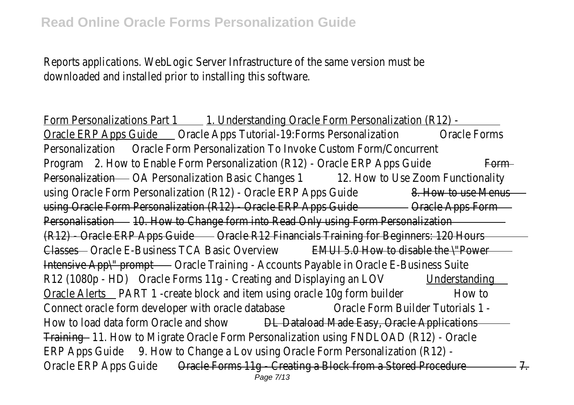Reports applications. WebLogic Server Infrastructure of the same version must be downloaded and installed prior to installing this software.

Form Personalizations Part 1 1. Understanding Oracle Form Personalization (R12) -Oracle ERP Apps Guide Oracle Apps Tutorial-19:Forms Personalization Oracle Forms Personalization Oracle Form Personalization To Invoke Custom Form/Concurrent Program 2. How to Enable Form Personalization (R12) - Oracle ERP Apps Guide Form Personalization OA Personalization Basic Changes 1 12. How to Use Zoom Functionality using Oracle Form Personalization (R12) - Oracle ERP Apps Guide 8. How to use Menus using Oracle Form Personalization (R12) - Oracle ERP Apps Guide Oracle Apps Form Personalisation 10. How to Change form into Read Only using Form Personalization (R12) Oracle ERP Apps Guide Oracle R12 Financials Training for Beginners: 120 Hours Classes Oracle E-Business TCA Basic Overview EMUI 5.0 How to disable the \"Power Intensive App\" prompt Oracle Training - Accounts Payable in Oracle E-Business Suite R12 (1080p - HDD racle Forms 11g - Creating and Displaying an LOV Understanding Oracle Alerts PART 1 -create block and item using oracle 10g form builder How to Connect oracle form developer with oracle database Oracle Form Builder Tutorials 1 -How to load data form Oracle and show DL Dataload Made Easy, Oracle Applications Training 11. How to Migrate Oracle Form Personalization using FNDLOAD (R12) - Oracle ERP Apps Guide 9. How to Change a Lov using Oracle Form Personalization (R12) - Oracle ERP Apps Guide Oracle Forms 11g - Creating a Block from a Stored Procedure 7. Page 7/13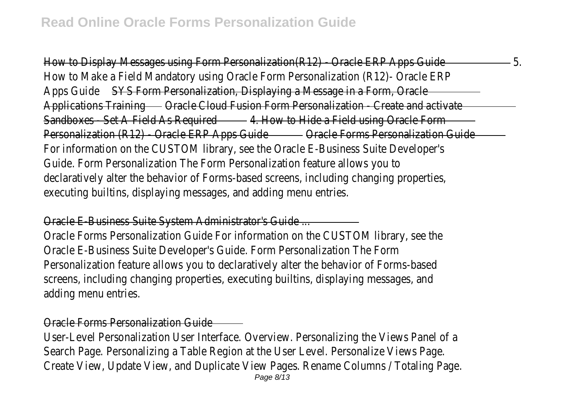How to Display Messages using Form Personalization(R12) - Oracle ERP Apps Guide 5. How to Make a Field Mandatory using Oracle Form Personalization (R12)- Oracle ERP Apps Guide SYS Form Personalization, Displaying a Message in a Form, Oracle Applications Training Oracle Cloud Fusion Form Personalization - Create and activate Sandboxes - Set A Field As Required-4. How to Hide a Field using Oracle Form Personalization (R12) - Oracle ERP Apps Guide-Oracle Forms Personalization Guide-For information on the CUSTOM library, see the Oracle E-Business Suite Developer's Guide. Form Personalization The Form Personalization feature allows you to declaratively alter the behavior of Forms-based screens, including changing properties, executing builtins, displaying messages, and adding menu entries.

#### Oracle E-Business Suite System Administrator's Guide ...

Oracle Forms Personalization Guide For information on the CUSTOM library, see the Oracle E-Business Suite Developer's Guide. Form Personalization The Form Personalization feature allows you to declaratively alter the behavior of Forms-based screens, including changing properties, executing builtins, displaying messages, and adding menu entries.

#### Oracle Forms Personalization Guide

User-Level Personalization User Interface. Overview. Personalizing the Views Panel of a Search Page. Personalizing a Table Region at the User Level. Personalize Views Page. Create View, Update View, and Duplicate View Pages. Rename Columns / Totaling Page.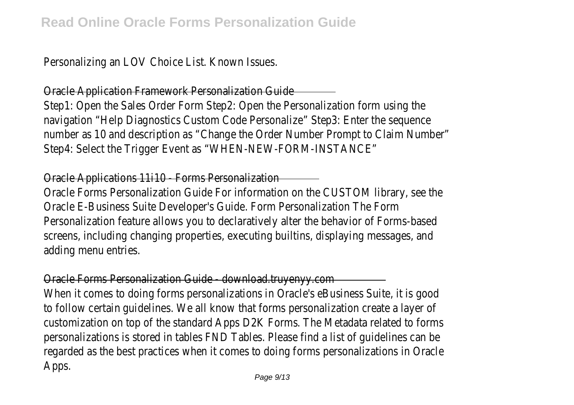Personalizing an LOV Choice List. Known Issues.

#### Oracle Application Framework Personalization Guide

Step1: Open the Sales Order Form Step2: Open the Personalization form using the navigation "Help Diagnostics Custom Code Personalize" Step3: Enter the sequence number as 10 and description as "Change the Order Number Prompt to Claim Number" Step4: Select the Trigger Event as "WHEN-NEW-FORM-INSTANCE"

#### Oracle Applications 11i10 - Forms Personalization

Oracle Forms Personalization Guide For information on the CUSTOM library, see the Oracle E-Business Suite Developer's Guide. Form Personalization The Form Personalization feature allows you to declaratively alter the behavior of Forms-based screens, including changing properties, executing builtins, displaying messages, and adding menu entries.

#### Oracle Forms Personalization Guide - download.truyenyy.com

When it comes to doing forms personalizations in Oracle's eBusiness Suite, it is good to follow certain guidelines. We all know that forms personalization create a layer of customization on top of the standard Apps D2K Forms. The Metadata related to forms personalizations is stored in tables FND Tables. Please find a list of guidelines can be regarded as the best practices when it comes to doing forms personalizations in Oracle Apps.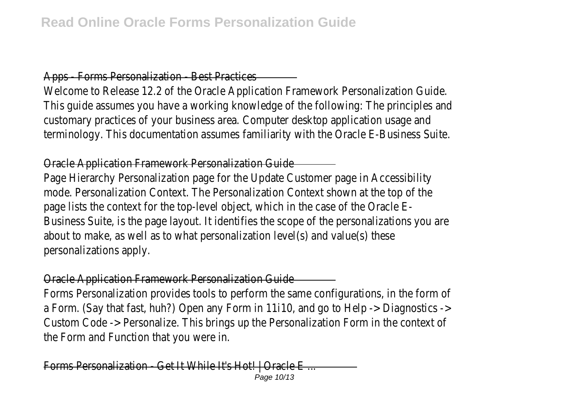### Apps - Forms Personalization - Best Practices

Welcome to Release 12.2 of the Oracle Application Framework Personalization Guide. This guide assumes you have a working knowledge of the following: The principles and customary practices of your business area. Computer desktop application usage and terminology. This documentation assumes familiarity with the Oracle E-Business Suite.

#### Oracle Application Framework Personalization Guide

Page Hierarchy Personalization page for the Update Customer page in Accessibility mode. Personalization Context. The Personalization Context shown at the top of the page lists the context for the top-level object, which in the case of the Oracle E-Business Suite, is the page layout. It identifies the scope of the personalizations you are about to make, as well as to what personalization level(s) and value(s) these personalizations apply.

### Oracle Application Framework Personalization Guide

Forms Personalization provides tools to perform the same configurations, in the form of a Form. (Say that fast, huh?) Open any Form in 11i10, and go to Help -> Diagnostics -> Custom Code -> Personalize. This brings up the Personalization Form in the context of the Form and Function that you were in.

Forms Personalization - Get It While It's Hot! | Oracle E ... Page 10/13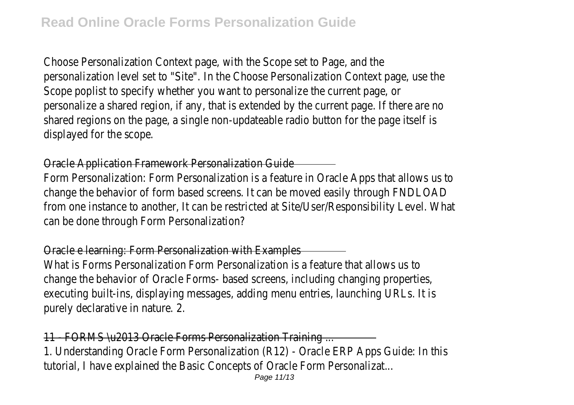Choose Personalization Context page, with the Scope set to Page, and the personalization level set to "Site". In the Choose Personalization Context page, use the Scope poplist to specify whether you want to personalize the current page, or personalize a shared region, if any, that is extended by the current page. If there are no shared regions on the page, a single non-updateable radio button for the page itself is displayed for the scope.

#### Oracle Application Framework Personalization Guide

Form Personalization: Form Personalization is a feature in Oracle Apps that allows us to change the behavior of form based screens. It can be moved easily through FNDLOAD from one instance to another, It can be restricted at Site/User/Responsibility Level. What can be done through Form Personalization?

### Oracle e learning: Form Personalization with Examples

What is Forms Personalization Form Personalization is a feature that allows us to change the behavior of Oracle Forms- based screens, including changing properties, executing built-ins, displaying messages, adding menu entries, launching URLs. It is purely declarative in nature. 2.

## 11 - FORMS \u2013 Oracle Forms Personalization Training ...

1. Understanding Oracle Form Personalization (R12) - Oracle ERP Apps Guide: In this tutorial, I have explained the Basic Concepts of Oracle Form Personalizat...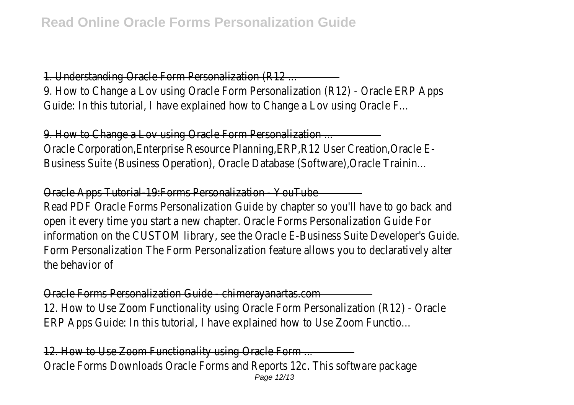## 1. Understanding Oracle Form Personalization (R12 ...

9. How to Change a Lov using Oracle Form Personalization (R12) - Oracle ERP Apps Guide: In this tutorial, I have explained how to Change a Lov using Oracle F...

9. How to Change a Lov using Oracle Form Personalization ...

Oracle Corporation,Enterprise Resource Planning,ERP,R12 User Creation,Oracle E-Business Suite (Business Operation), Oracle Database (Software),Oracle Trainin...

## Oracle Apps Tutorial-19:Forms Personalization - YouTube

Read PDF Oracle Forms Personalization Guide by chapter so you'll have to go back and open it every time you start a new chapter. Oracle Forms Personalization Guide For information on the CUSTOM library, see the Oracle E-Business Suite Developer's Guide. Form Personalization The Form Personalization feature allows you to declaratively alter the behavior of

#### Oracle Forms Personalization Guide - chimerayanartas.com

12. How to Use Zoom Functionality using Oracle Form Personalization (R12) - Oracle ERP Apps Guide: In this tutorial, I have explained how to Use Zoom Functio...

## 12. How to Use Zoom Functionality using Oracle Form ...

Oracle Forms Downloads Oracle Forms and Reports 12c. This software package Page 12/13